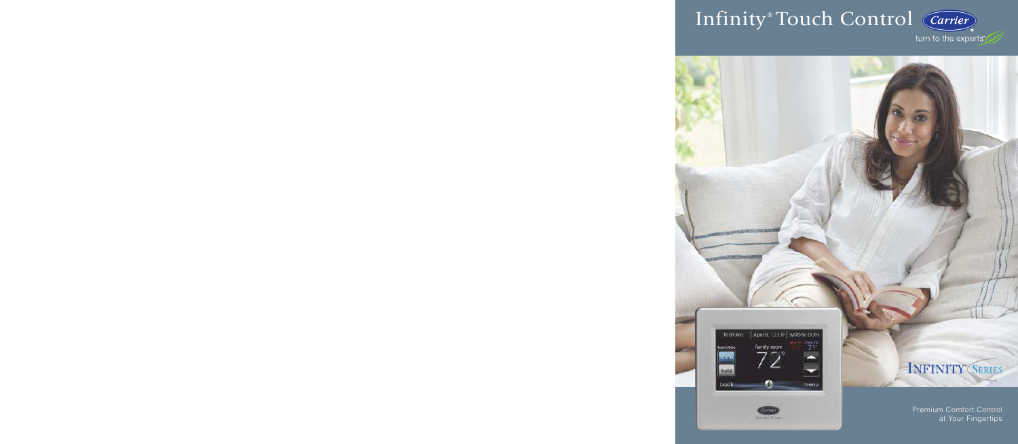# Infinity ® Touch Control

turn to the experts"



Carrier benin found INFINITY® SERIES

Premium Comfort Control at Your Fingertips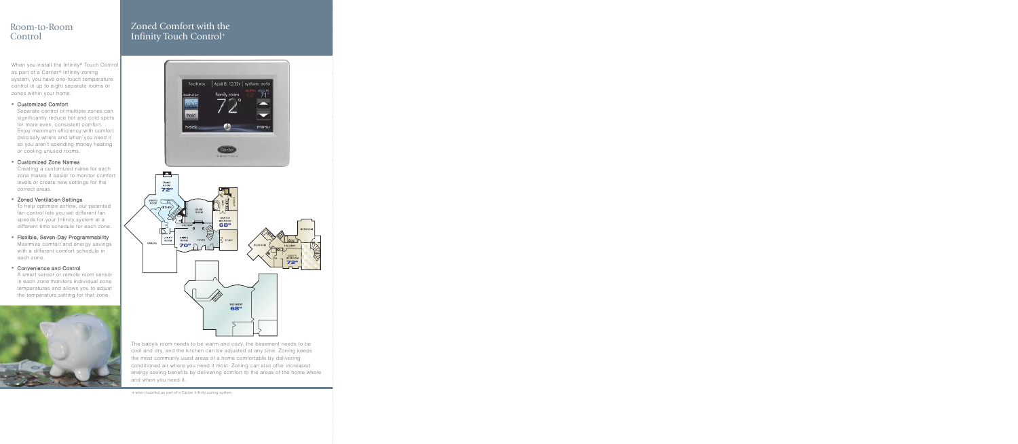## Room-to-Room Control

When you install the Infinity® Touch Control as part of a Carrier® Infinity zoning system, you have one-touch temperature control in up to eight separate rooms or zones within your home.

#### **•** Customized Comfort

Separate control of multiple zones can significantly reduce hot and cold spots for more even, consistent comfort. Enjoy maximum efficiency with comfort precisely where and when you need it so you aren't spending money heating or cooling unused rooms.

#### **•** Customized Zone Names

Creating a customized name for each zone makes it easier to monitor comfort levels or create new settings for the correct areas.

#### **•** Zoned Ventilation Settings

To help optimize airflow, our patented fan control lets you set different fan speeds for your Infinity system at a different time schedule for each zone.

**•** Flexible, Seven-Day Programmability Maximize comfort and energy savings with a different comfort schedule in each zone.

#### **•** Convenience and Control

A smart sensor or remote room sensor in each zone monitors individual zone temperatures and allows you to adjust the temperature setting for that zone.



# Zoned Comfort with the Infinity Touch Control<sup>+</sup>



The baby's room needs to be warm and cozy, the basement needs to be cool and dry, and the kitchen can be adjusted at any time. Zoning keeps the most commonly used areas of a home comfortable by delivering conditioned air where you need it most. Zoning can also offer increased energy saving benefits by delivering comfort to the areas of the home where and when you need it.

+ when installed as part of a Carrier Infinity zoning system.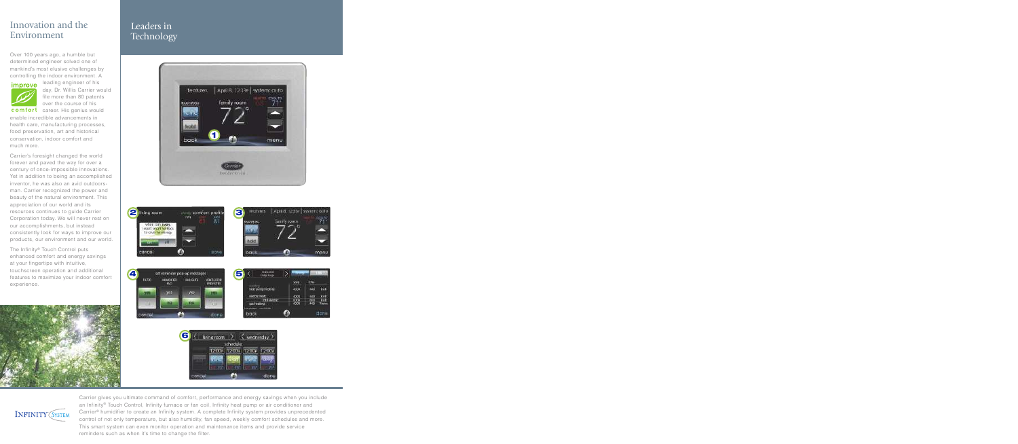# Innovation and the Environment

Over 100 years ago, a humble but determined engineer solved one of mankind's most elusive challenges by controlling the indoor environment. A



leading engineer of his day, Dr. Willis Carrier would file more than 80 patents over the course of his

comfort career. His genius would enable incredible advancements in health care, manufacturing processes, food preservation, art and historical conservation, indoor comfort and much more.

Carrier's foresight changed the world forever and paved the way for over a century of once-impossible innovations. Yet in addition to being an accomplished inventor, he was also an avid outdoorsman. Carrier recognized the power and beauty of the natural environment. This appreciation of our world and its resources continues to guide Carrier Corporation today. We will never rest on our accomplishments, but instead consistently look for ways to improve our products, our environment and our world.

The Infinity® Touch Control puts enhanced comfort and energy savings at your fingertips with intuitive, touchscreen operation and additional features to maximize your indoor comfort experience.



# Leaders in **Technology**



**INFINITY (SYSTEM** 

Carrier gives you ultimate command of comfort, performance and energy savings when you include an Infinity® Touch Control, Infinity furnace or fan coil, Infinity heat pump or air conditioner and Carrier® humidifier to create an Infinity system. A complete Infinity system provides unprecedented control of not only temperature, but also humidity, fan speed, weekly comfort schedules and more. This smart system can even monitor operation and maintenance items and provide service reminders such as when it's time to change the filter.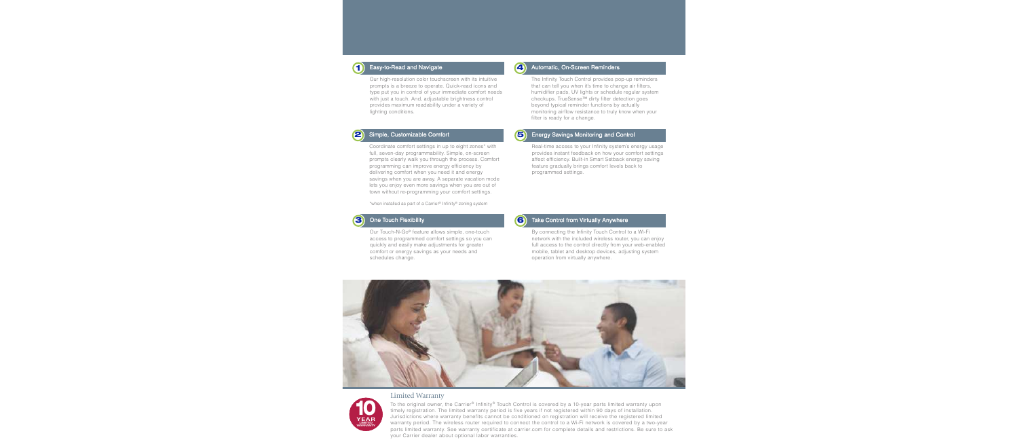

#### Easy-to-Read and Navigate

Our high-resolution color touchscreen with its intuitive prompts is a breeze to operate. Quick-read icons and type put you in control of your immediate comfort needs with just a touch. And, adjustable brightness control provides maximum readability under a variety of lighting conditions.



#### Simple, Customizable Comfort

Coordinate comfort settings in up to eight zones\* with full, seven-day programmability. Simple, on-screen prompts clearly walk you through the process. Comfort programming can improve energy efficiency by delivering comfort when you need it and energy savings when you are away. A separate vacation mode lets you enjoy even more savings when you are out of town without re-programming your comfort settings.

\*when installed as part of a Carrier® Infinity® zoning system



#### One Touch Flexibility

Our Touch-N-Go® feature allows simple, one-touch access to programmed comfort settings so you can quickly and easily make adjustments for greater comfort or energy savings as your needs and schedules change.



## **4** Automatic, On-Screen Reminders

The Infinity Touch Control provides pop-up reminders that can tell you when it's time to change air filters, humidifier pads, UV lights or schedule regular system checkups. TrueSense™ dirty filter detection goes beyond typical reminder functions by actually monitoring airflow resistance to truly know when your filter is ready for a change.

## 5

#### Energy Savings Monitoring and Control

Real-time access to your Infinity system's energy usage provides instant feedback on how your comfort settings affect efficiency. Built-in Smart Setback energy saving feature gradually brings comfort levels back to programmed settings.



#### Take Control from Virtually Anywhere

By connecting the Infinity Touch Control to a Wi-Fi network with the included wireless router, you can enjoy full access to the control directly from your web-enabled mobile, tablet and desktop devices, adjusting system operation from virtually anywhere.





### Limited Warranty

To the original owner, the Carrier® Infinity® Touch Control is covered by a 10-year parts limited warranty upon timely registration. The limited warranty period is five years if not registered within 90 days of installation. Jurisdictions where warranty benefits cannot be conditioned on registration will receive the registered limited warranty period. The wireless router required to connect the control to a Wi-Fi network is covered by a two-year parts limited warranty. See warranty certificate at carrier.com for complete details and restrictions. Be sure to ask your Carrier dealer about optional labor warranties.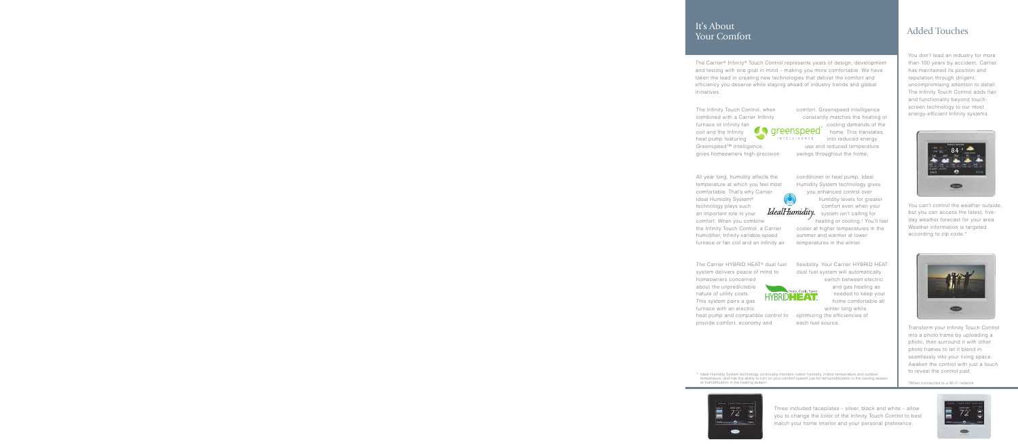## It's About Your Comfort

The Carrier ® Infinity ® Touch Control represents years of design, development and testing with one goal in mind – making you more comfortable. We have taken the lead in creating new technologies that deliver the comfort and efficiency you deserve while staying ahead of industry trends and global initiatives.

The Infinity Touch Control, when combined with a Carrier Infinity furnace or Infinity fan coil and the Infinity heat pump featuring

Greenspeed™ intelligence, gives homeowners high-precision comfort. Greenspeed intelligence constantly matches the heating or

eenspeed<sup>.</sup> INTELLIGENCE

cooling demands of the home. This translates into reduced energy

use and reduced temperature swings throughout the home.

All year long, humidity affects the temperature at which you feel most comfortable. That's why Carrier Ideal Humidity System® technology plays such an important role in your comfort. When you combine the Infinity Touch Control, a Carrier humidifier, Infinity variable-speed furnace or fan coil and an Infinity air

The Carrier HYBRID HEAT ® dual fuel system delivers peace of mind to

homeowners concerned about the unpredictable nature of utility costs. This system pairs a gas furnace with an electric heat pump and compatible control to

provide comfort, economy and

conditioner or heat pump, Ideal Humidity System technology gives you enhanced control over

IdealHumidity

Heats. Cools. Saves. HYBRID**HEAT** 

† Ideal Humidity System technology continually monitors indoor humidity, indoor temperature and outdoor temperature, and has the ability to turn on your comfort system just for dehumidification in the cooling season

humidity levels for greater

comfort even when your system isn't calling for

heating or cooling. † You'll feel cooler at higher temperatures in the summer and warmer at lower temperatures in the winter.

flexibility. Your Carrier HYBRID HEAT dual fuel system will automatically

> switch between electric and gas heating as needed to keep your home comfortable all

winter long while optimizing the efficiencies of

each fuel source.

Added Touches

You don't lead an industry for more than 100 years by accident. Carrier has maintained its position and reputation through diligent, uncompromising attention to detail. The Infinity Touch Control adds flair and functionality beyond touchscreen technology to our most energy-efficient Infinity systems.



You can't control the weather outside, but you can access the latest, fiveday weather forecast for your area. Weather information is targeted according to zip code.\*



Transform your Infinity Touch Control into a photo frame by uploading a photo, then surround it with other photo frames to let it blend in seamlessly into your living space. Awaken the control with just a touch to reveal the control pad.

\*When connected to a Wi-Fi network





or humidification in the heating season.

Three included faceplates – silver, black and white – allow you to change the color of the Infinity Touch Control to best match your home interior and your personal preference.